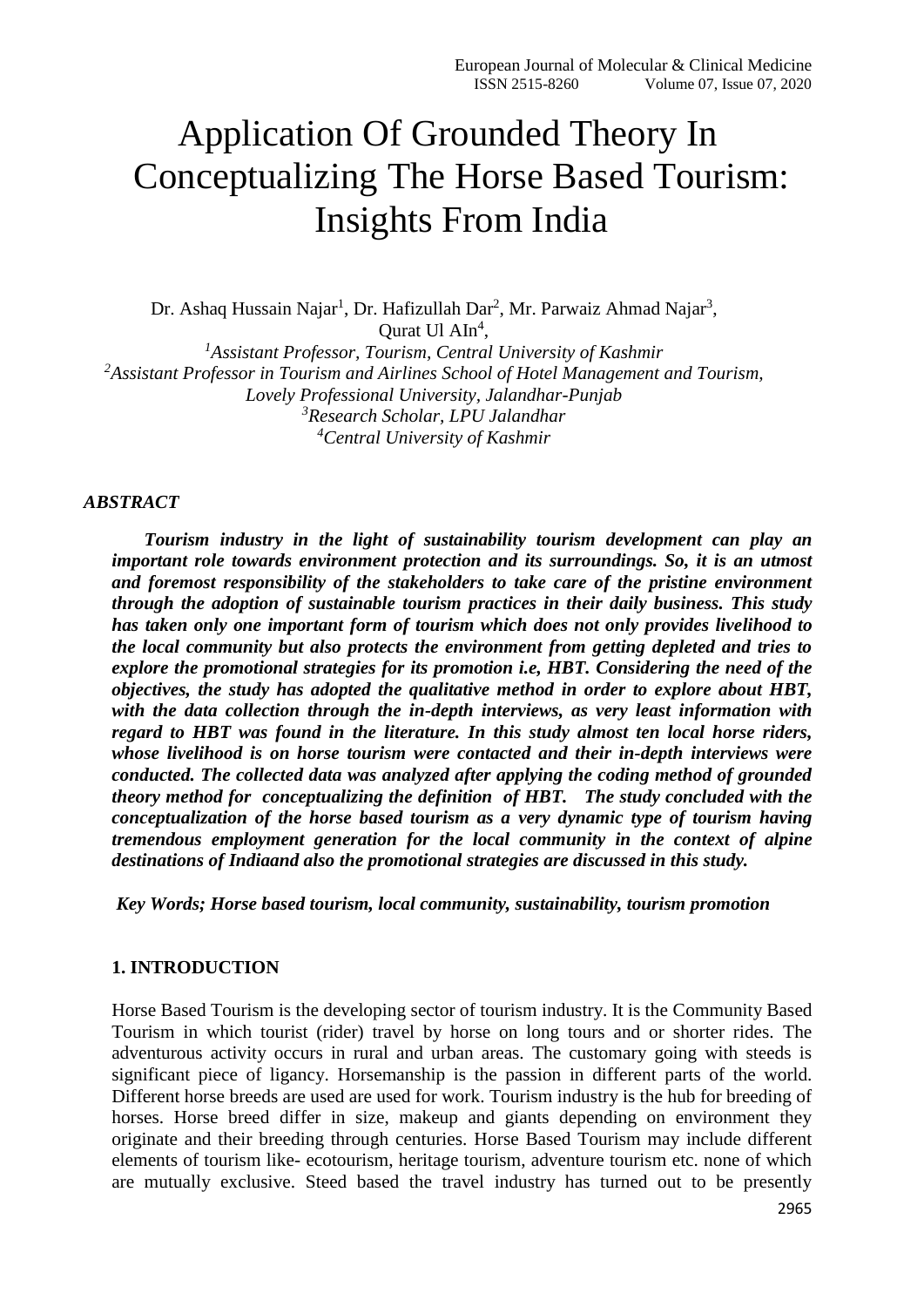# Application Of Grounded Theory In Conceptualizing The Horse Based Tourism: Insights From India

Dr. Ashaq Hussain Najar<sup>1</sup>, Dr. Hafizullah Dar<sup>2</sup>, Mr. Parwaiz Ahmad Najar<sup>3</sup>, Qurat Ul  $Aln^4$ , *<sup>1</sup>Assistant Professor, Tourism, Central University of Kashmir <sup>2</sup>Assistant Professor in Tourism and Airlines School of Hotel Management and Tourism, Lovely Professional University, Jalandhar-Punjab <sup>3</sup>Research Scholar, LPU Jalandhar*

*<sup>4</sup>Central University of Kashmir*

#### *ABSTRACT*

 *Tourism industry in the light of sustainability tourism development can play an important role towards environment protection and its surroundings. So, it is an utmost and foremost responsibility of the stakeholders to take care of the pristine environment through the adoption of sustainable tourism practices in their daily business. This study has taken only one important form of tourism which does not only provides livelihood to the local community but also protects the environment from getting depleted and tries to explore the promotional strategies for its promotion i.e, HBT. Considering the need of the objectives, the study has adopted the qualitative method in order to explore about HBT, with the data collection through the in-depth interviews, as very least information with regard to HBT was found in the literature. In this study almost ten local horse riders, whose livelihood is on horse tourism were contacted and their in-depth interviews were conducted. The collected data was analyzed after applying the coding method of grounded theory method for conceptualizing the definition of HBT. The study concluded with the conceptualization of the horse based tourism as a very dynamic type of tourism having tremendous employment generation for the local community in the context of alpine destinations of Indiaand also the promotional strategies are discussed in this study.*

 *Key Words; Horse based tourism, local community, sustainability, tourism promotion*

#### **1. INTRODUCTION**

Horse Based Tourism is the developing sector of tourism industry. It is the Community Based Tourism in which tourist (rider) travel by horse on long tours and or shorter rides. The adventurous activity occurs in rural and urban areas. The customary going with steeds is significant piece of ligancy. Horsemanship is the passion in different parts of the world. Different horse breeds are used are used for work. Tourism industry is the hub for breeding of horses. Horse breed differ in size, makeup and giants depending on environment they originate and their breeding through centuries. Horse Based Tourism may include different elements of tourism like- ecotourism, heritage tourism, adventure tourism etc. none of which are mutually exclusive. Steed based the travel industry has turned out to be presently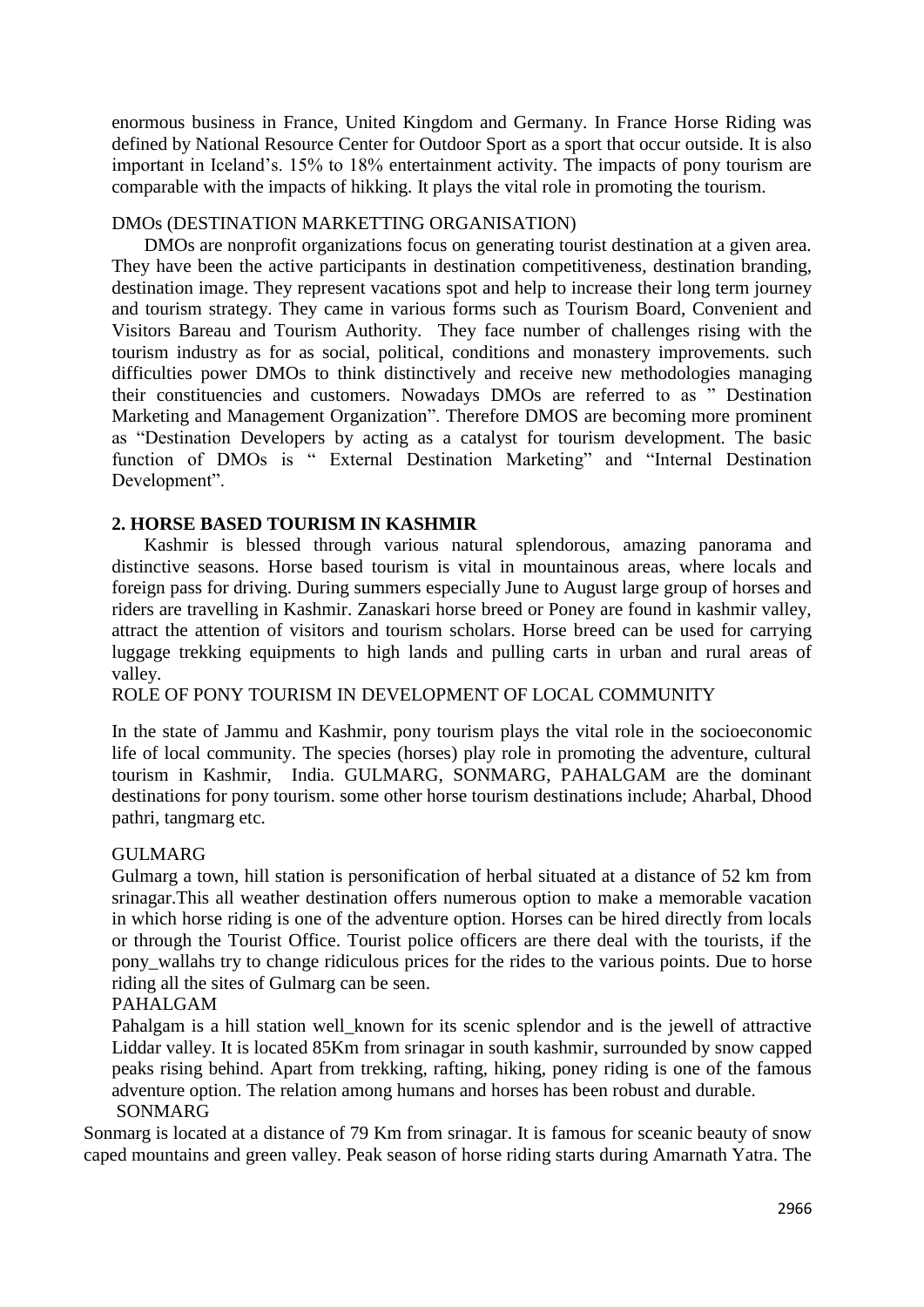enormous business in France, United Kingdom and Germany. In France Horse Riding was defined by National Resource Center for Outdoor Sport as a sport that occur outside. It is also important in Iceland's. 15% to 18% entertainment activity. The impacts of pony tourism are comparable with the impacts of hikking. It plays the vital role in promoting the tourism.

#### DMOs (DESTINATION MARKETTING ORGANISATION)

 DMOs are nonprofit organizations focus on generating tourist destination at a given area. They have been the active participants in destination competitiveness, destination branding, destination image. They represent vacations spot and help to increase their long term journey and tourism strategy. They came in various forms such as Tourism Board, Convenient and Visitors Bareau and Tourism Authority. They face number of challenges rising with the tourism industry as for as social, political, conditions and monastery improvements. such difficulties power DMOs to think distinctively and receive new methodologies managing their constituencies and customers. Nowadays DMOs are referred to as " Destination Marketing and Management Organization". Therefore DMOS are becoming more prominent as "Destination Developers by acting as a catalyst for tourism development. The basic function of DMOs is " External Destination Marketing" and "Internal Destination Development".

#### **2. HORSE BASED TOURISM IN KASHMIR**

 Kashmir is blessed through various natural splendorous, amazing panorama and distinctive seasons. Horse based tourism is vital in mountainous areas, where locals and foreign pass for driving. During summers especially June to August large group of horses and riders are travelling in Kashmir. Zanaskari horse breed or Poney are found in kashmir valley, attract the attention of visitors and tourism scholars. Horse breed can be used for carrying luggage trekking equipments to high lands and pulling carts in urban and rural areas of valley.

## ROLE OF PONY TOURISM IN DEVELOPMENT OF LOCAL COMMUNITY

In the state of Jammu and Kashmir, pony tourism plays the vital role in the socioeconomic life of local community. The species (horses) play role in promoting the adventure, cultural tourism in Kashmir, India. GULMARG, SONMARG, PAHALGAM are the dominant destinations for pony tourism. some other horse tourism destinations include; Aharbal, Dhood pathri, tangmarg etc.

#### GULMARG

Gulmarg a town, hill station is personification of herbal situated at a distance of 52 km from srinagar.This all weather destination offers numerous option to make a memorable vacation in which horse riding is one of the adventure option. Horses can be hired directly from locals or through the Tourist Office. Tourist police officers are there deal with the tourists, if the pony wallahs try to change ridiculous prices for the rides to the various points. Due to horse riding all the sites of Gulmarg can be seen.

#### PAHALGAM

Pahalgam is a hill station well\_known for its scenic splendor and is the jewell of attractive Liddar valley. It is located 85Km from srinagar in south kashmir, surrounded by snow capped peaks rising behind. Apart from trekking, rafting, hiking, poney riding is one of the famous adventure option. The relation among humans and horses has been robust and durable. SONMARG

Sonmarg is located at a distance of 79 Km from srinagar. It is famous for sceanic beauty of snow caped mountains and green valley. Peak season of horse riding starts during Amarnath Yatra. The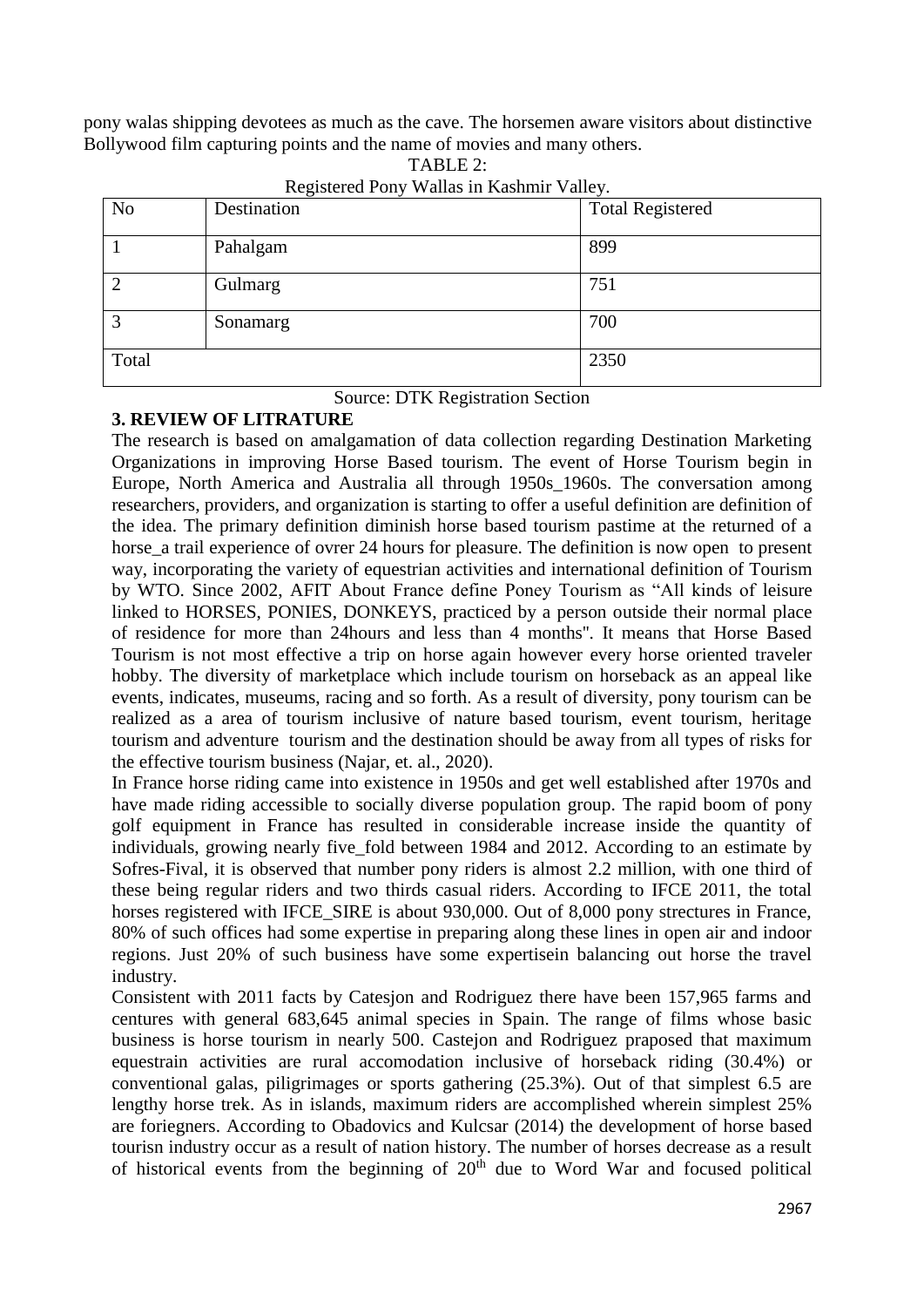pony walas shipping devotees as much as the cave. The horsemen aware visitors about distinctive Bollywood film capturing points and the name of movies and many others.

| N <sub>o</sub> | Destination | <b>Total Registered</b> |
|----------------|-------------|-------------------------|
|                | Pahalgam    | 899                     |
|                | Gulmarg     | 751                     |
| 2              | Sonamarg    | 700                     |
| Total          |             | 2350                    |

TABLE  $2$ Registered Pony Wallas in Kashmir Valley.

#### Source: DTK Registration Section

## **3. REVIEW OF LITRATURE**

The research is based on amalgamation of data collection regarding Destination Marketing Organizations in improving Horse Based tourism. The event of Horse Tourism begin in Europe, North America and Australia all through 1950s\_1960s. The conversation among researchers, providers, and organization is starting to offer a useful definition are definition of the idea. The primary definition diminish horse based tourism pastime at the returned of a horse a trail experience of ovrer 24 hours for pleasure. The definition is now open to present way, incorporating the variety of equestrian activities and international definition of Tourism by WTO. Since 2002, AFIT About France define Poney Tourism as "All kinds of leisure linked to HORSES, PONIES, DONKEYS, practiced by a person outside their normal place of residence for more than 24hours and less than 4 months''. It means that Horse Based Tourism is not most effective a trip on horse again however every horse oriented traveler hobby. The diversity of marketplace which include tourism on horseback as an appeal like events, indicates, museums, racing and so forth. As a result of diversity, pony tourism can be realized as a area of tourism inclusive of nature based tourism, event tourism, heritage tourism and adventure tourism and the destination should be away from all types of risks for the effective tourism business (Najar, et. al., 2020).

In France horse riding came into existence in 1950s and get well established after 1970s and have made riding accessible to socially diverse population group. The rapid boom of pony golf equipment in France has resulted in considerable increase inside the quantity of individuals, growing nearly five fold between 1984 and 2012. According to an estimate by Sofres-Fival, it is observed that number pony riders is almost 2.2 million, with one third of these being regular riders and two thirds casual riders. According to IFCE 2011, the total horses registered with IFCE\_SIRE is about 930,000. Out of 8,000 pony strectures in France, 80% of such offices had some expertise in preparing along these lines in open air and indoor regions. Just 20% of such business have some expertisein balancing out horse the travel industry.

Consistent with 2011 facts by Catesjon and Rodriguez there have been 157,965 farms and centures with general 683,645 animal species in Spain. The range of films whose basic business is horse tourism in nearly 500. Castejon and Rodriguez praposed that maximum equestrain activities are rural accomodation inclusive of horseback riding (30.4%) or conventional galas, piligrimages or sports gathering (25.3%). Out of that simplest 6.5 are lengthy horse trek. As in islands, maximum riders are accomplished wherein simplest 25% are foriegners. According to Obadovics and Kulcsar (2014) the development of horse based tourisn industry occur as a result of nation history. The number of horses decrease as a result of historical events from the beginning of  $20<sup>th</sup>$  due to Word War and focused political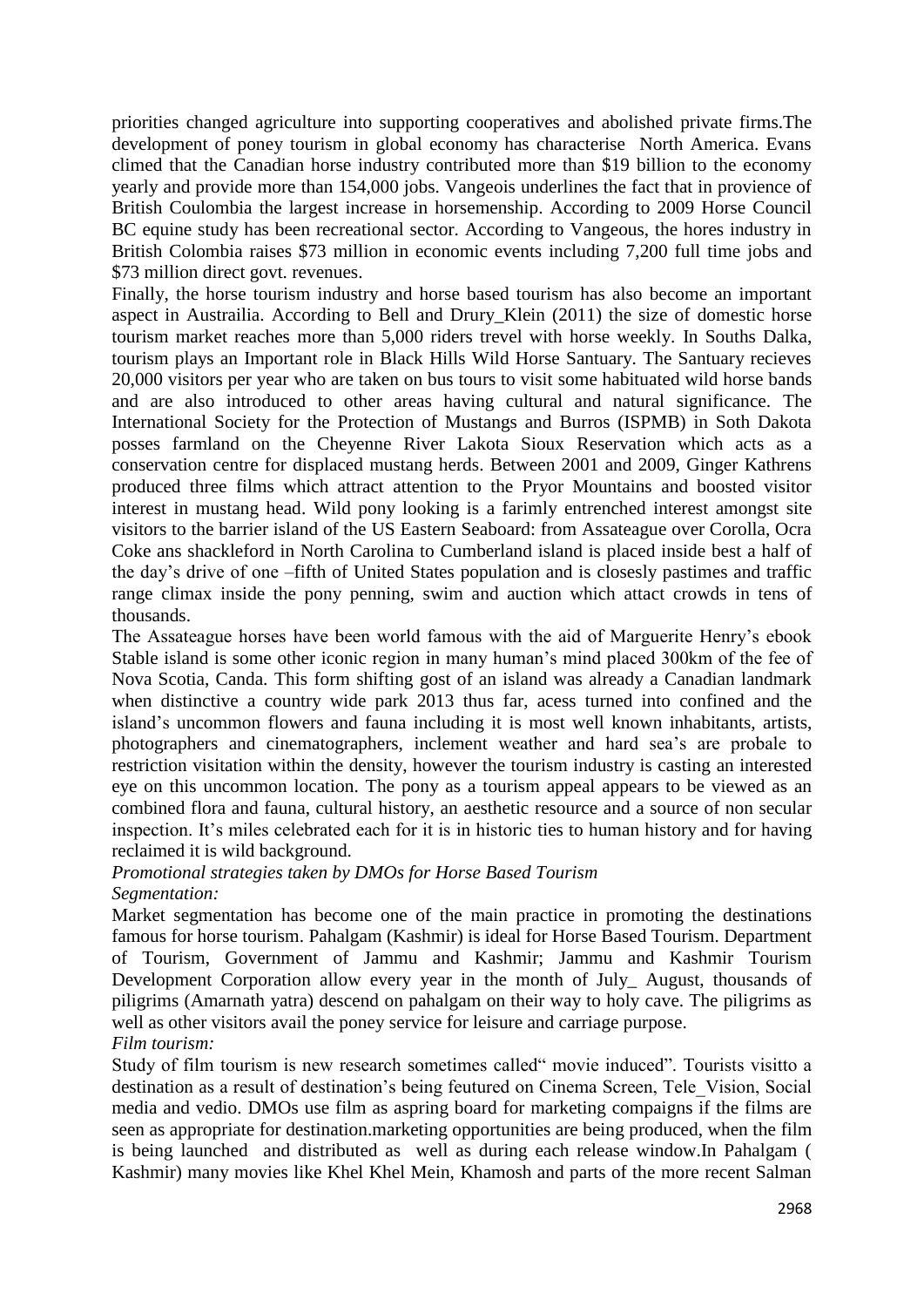priorities changed agriculture into supporting cooperatives and abolished private firms.The development of poney tourism in global economy has characterise North America. Evans climed that the Canadian horse industry contributed more than \$19 billion to the economy yearly and provide more than 154,000 jobs. Vangeois underlines the fact that in provience of British Coulombia the largest increase in horsemenship. According to 2009 Horse Council BC equine study has been recreational sector. According to Vangeous, the hores industry in British Colombia raises \$73 million in economic events including 7,200 full time jobs and \$73 million direct govt. revenues.

Finally, the horse tourism industry and horse based tourism has also become an important aspect in Austrailia. According to Bell and Drury\_Klein (2011) the size of domestic horse tourism market reaches more than 5,000 riders trevel with horse weekly. In Souths Dalka, tourism plays an Important role in Black Hills Wild Horse Santuary. The Santuary recieves 20,000 visitors per year who are taken on bus tours to visit some habituated wild horse bands and are also introduced to other areas having cultural and natural significance. The International Society for the Protection of Mustangs and Burros (ISPMB) in Soth Dakota posses farmland on the Cheyenne River Lakota Sioux Reservation which acts as a conservation centre for displaced mustang herds. Between 2001 and 2009, Ginger Kathrens produced three films which attract attention to the Pryor Mountains and boosted visitor interest in mustang head. Wild pony looking is a farimly entrenched interest amongst site visitors to the barrier island of the US Eastern Seaboard: from Assateague over Corolla, Ocra Coke ans shackleford in North Carolina to Cumberland island is placed inside best a half of the day's drive of one –fifth of United States population and is closesly pastimes and traffic range climax inside the pony penning, swim and auction which attact crowds in tens of thousands.

The Assateague horses have been world famous with the aid of Marguerite Henry's ebook Stable island is some other iconic region in many human's mind placed 300km of the fee of Nova Scotia, Canda. This form shifting gost of an island was already a Canadian landmark when distinctive a country wide park 2013 thus far, acess turned into confined and the island's uncommon flowers and fauna including it is most well known inhabitants, artists, photographers and cinematographers, inclement weather and hard sea's are probale to restriction visitation within the density, however the tourism industry is casting an interested eye on this uncommon location. The pony as a tourism appeal appears to be viewed as an combined flora and fauna, cultural history, an aesthetic resource and a source of non secular inspection. It's miles celebrated each for it is in historic ties to human history and for having reclaimed it is wild background.

#### *Promotional strategies taken by DMOs for Horse Based Tourism Segmentation:*

Market segmentation has become one of the main practice in promoting the destinations famous for horse tourism. Pahalgam (Kashmir) is ideal for Horse Based Tourism. Department of Tourism, Government of Jammu and Kashmir; Jammu and Kashmir Tourism Development Corporation allow every year in the month of July\_ August, thousands of piligrims (Amarnath yatra) descend on pahalgam on their way to holy cave. The piligrims as well as other visitors avail the poney service for leisure and carriage purpose. *Film tourism:*

Study of film tourism is new research sometimes called" movie induced". Tourists visitto a destination as a result of destination's being feutured on Cinema Screen, Tele\_Vision, Social media and vedio. DMOs use film as aspring board for marketing compaigns if the films are seen as appropriate for destination.marketing opportunities are being produced, when the film is being launched and distributed as well as during each release window.In Pahalgam ( Kashmir) many movies like Khel Khel Mein, Khamosh and parts of the more recent Salman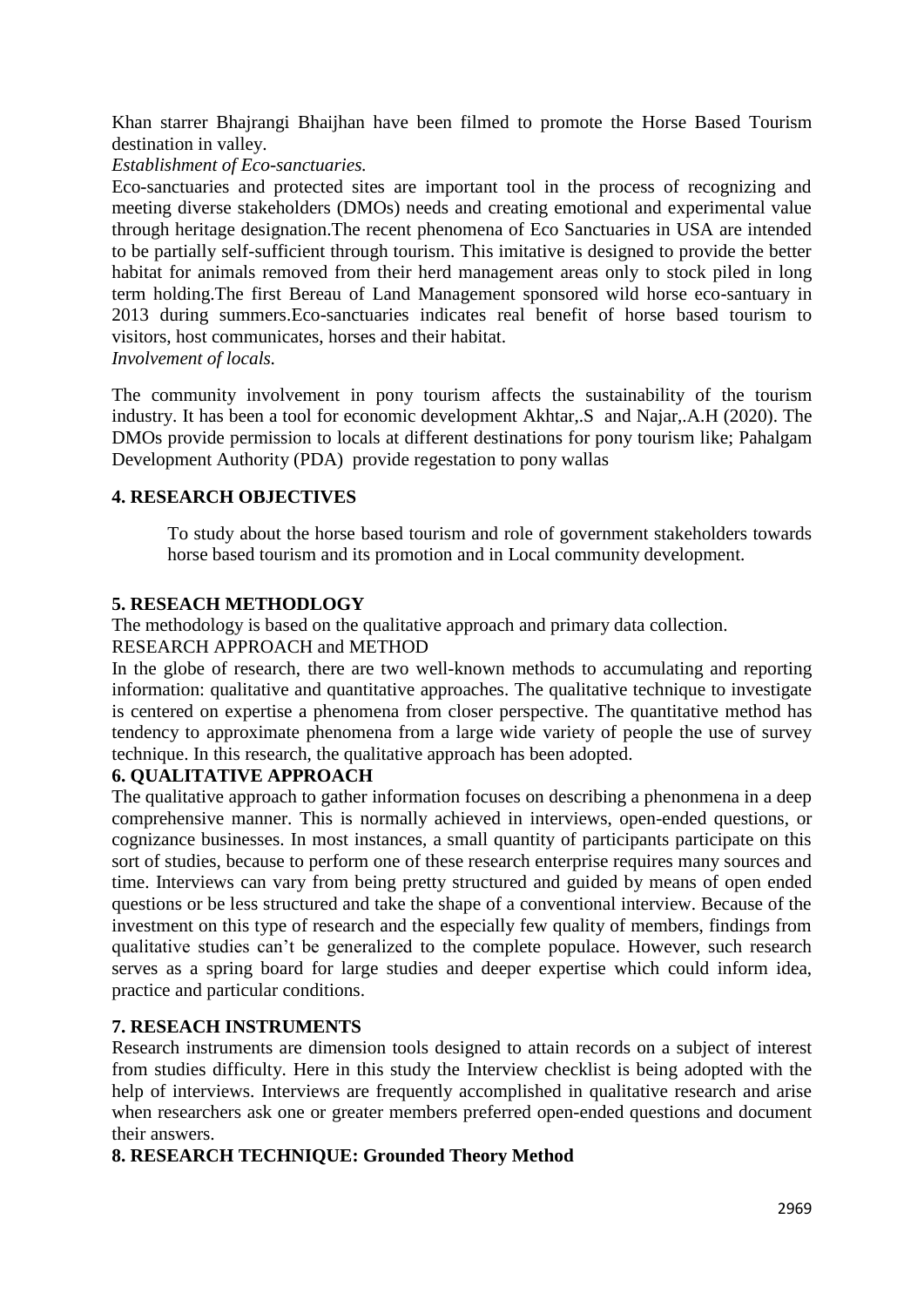Khan starrer Bhajrangi Bhaijhan have been filmed to promote the Horse Based Tourism destination in valley.

*Establishment of Eco-sanctuaries.*

Eco-sanctuaries and protected sites are important tool in the process of recognizing and meeting diverse stakeholders (DMOs) needs and creating emotional and experimental value through heritage designation.The recent phenomena of Eco Sanctuaries in USA are intended to be partially self-sufficient through tourism. This imitative is designed to provide the better habitat for animals removed from their herd management areas only to stock piled in long term holding.The first Bereau of Land Management sponsored wild horse eco-santuary in 2013 during summers.Eco-sanctuaries indicates real benefit of horse based tourism to visitors, host communicates, horses and their habitat. *Involvement of locals.*

The community involvement in pony tourism affects the sustainability of the tourism industry. It has been a tool for economic development Akhtar,.S and Najar,.A.H (2020). The DMOs provide permission to locals at different destinations for pony tourism like; Pahalgam Development Authority (PDA) provide regestation to pony wallas

## **4. RESEARCH OBJECTIVES**

To study about the horse based tourism and role of government stakeholders towards horse based tourism and its promotion and in Local community development.

## **5. RESEACH METHODLOGY**

The methodology is based on the qualitative approach and primary data collection.

RESEARCH APPROACH and METHOD

In the globe of research, there are two well-known methods to accumulating and reporting information: qualitative and quantitative approaches. The qualitative technique to investigate is centered on expertise a phenomena from closer perspective. The quantitative method has tendency to approximate phenomena from a large wide variety of people the use of survey technique. In this research, the qualitative approach has been adopted.

## **6. QUALITATIVE APPROACH**

The qualitative approach to gather information focuses on describing a phenonmena in a deep comprehensive manner. This is normally achieved in interviews, open-ended questions, or cognizance businesses. In most instances, a small quantity of participants participate on this sort of studies, because to perform one of these research enterprise requires many sources and time. Interviews can vary from being pretty structured and guided by means of open ended questions or be less structured and take the shape of a conventional interview. Because of the investment on this type of research and the especially few quality of members, findings from qualitative studies can't be generalized to the complete populace. However, such research serves as a spring board for large studies and deeper expertise which could inform idea, practice and particular conditions.

## **7. RESEACH INSTRUMENTS**

Research instruments are dimension tools designed to attain records on a subject of interest from studies difficulty. Here in this study the Interview checklist is being adopted with the help of interviews. Interviews are frequently accomplished in qualitative research and arise when researchers ask one or greater members preferred open-ended questions and document their answers.

## **8. RESEARCH TECHNIQUE: Grounded Theory Method**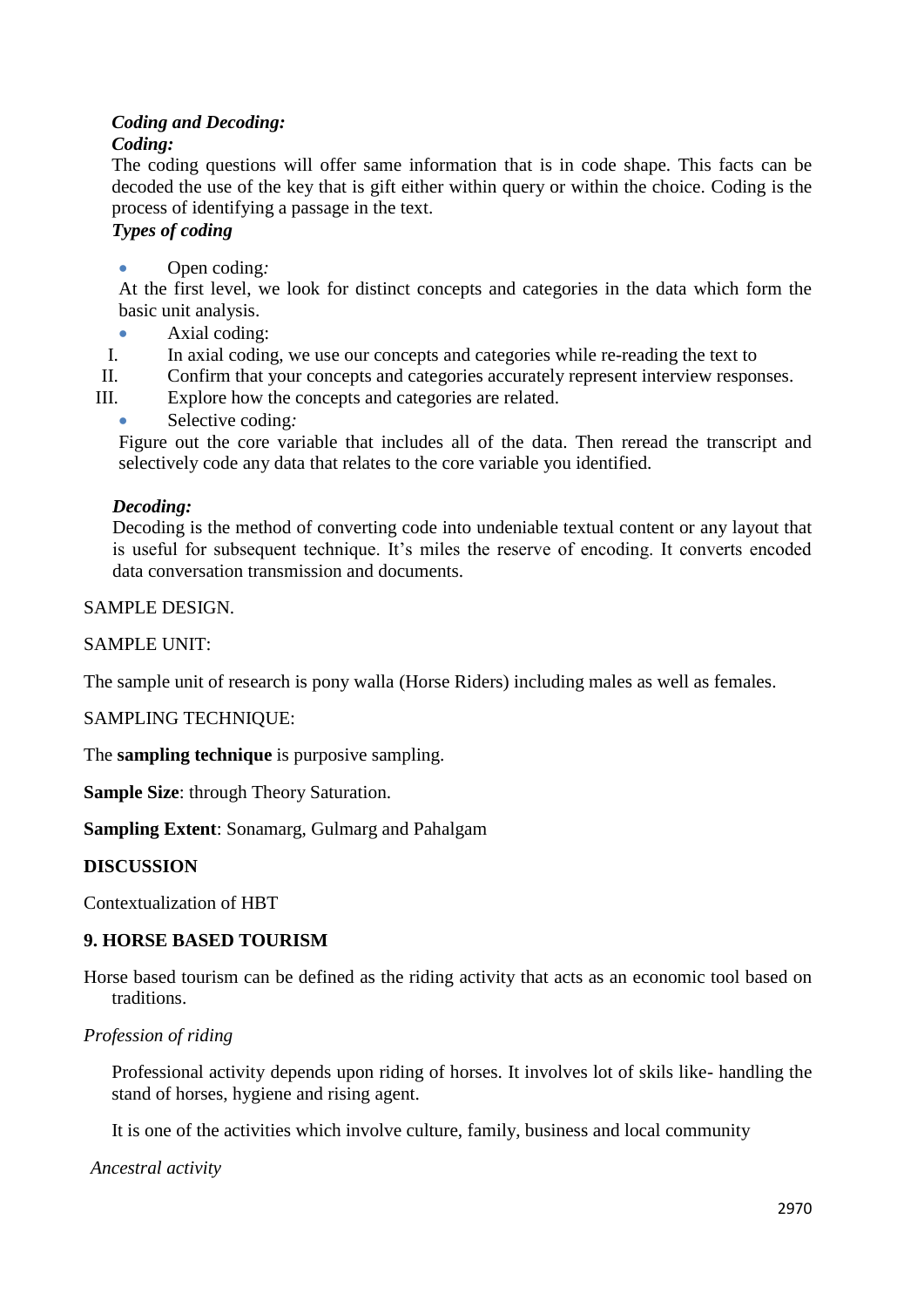## *Coding and Decoding:*

## *Coding:*

The coding questions will offer same information that is in code shape. This facts can be decoded the use of the key that is gift either within query or within the choice. Coding is the process of identifying a passage in the text.

## *Types of coding*

Open coding*:*

At the first level, we look for distinct concepts and categories in the data which form the basic unit analysis.

- Axial coding:
- I. In axial coding, we use our concepts and categories while re-reading the text to
- II. Confirm that your concepts and categories accurately represent interview responses.
- III. Explore how the concepts and categories are related.
	- Selective coding*:*

Figure out the core variable that includes all of the data. Then reread the transcript and selectively code any data that relates to the core variable you identified.

## *Decoding:*

Decoding is the method of converting code into undeniable textual content or any layout that is useful for subsequent technique. It's miles the reserve of encoding. It converts encoded data conversation transmission and documents.

## SAMPLE DESIGN.

## SAMPLE UNIT:

The sample unit of research is pony walla (Horse Riders) including males as well as females.

## SAMPLING TECHNIQUE:

The **sampling technique** is purposive sampling.

**Sample Size**: through Theory Saturation.

**Sampling Extent**: Sonamarg, Gulmarg and Pahalgam

## **DISCUSSION**

Contextualization of HBT

## **9. HORSE BASED TOURISM**

Horse based tourism can be defined as the riding activity that acts as an economic tool based on traditions.

## *Profession of riding*

 Professional activity depends upon riding of horses. It involves lot of skils like- handling the stand of horses, hygiene and rising agent.

It is one of the activities which involve culture, family, business and local community

## *Ancestral activity*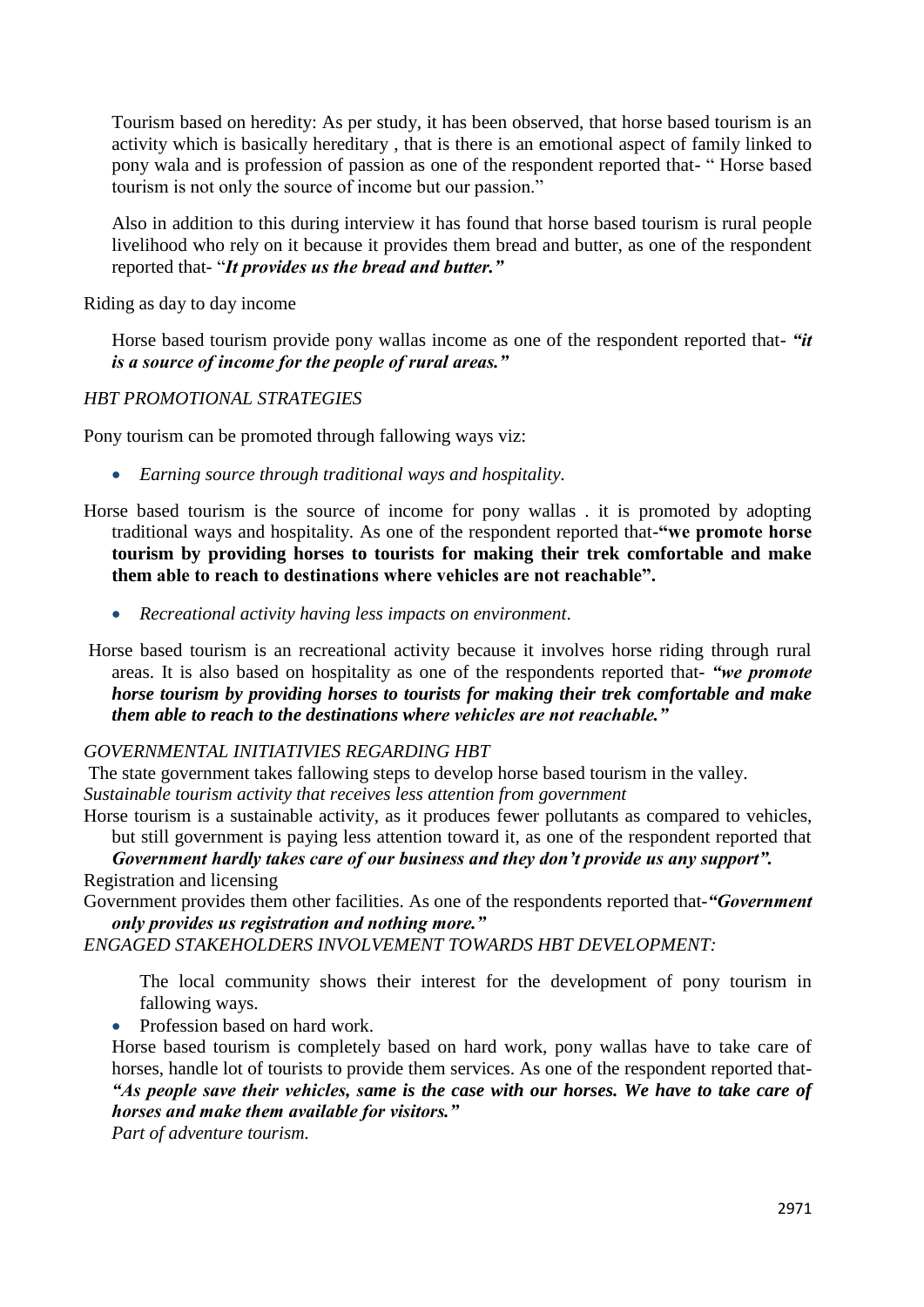Tourism based on heredity: As per study, it has been observed, that horse based tourism is an activity which is basically hereditary , that is there is an emotional aspect of family linked to pony wala and is profession of passion as one of the respondent reported that- " Horse based tourism is not only the source of income but our passion."

Also in addition to this during interview it has found that horse based tourism is rural people livelihood who rely on it because it provides them bread and butter, as one of the respondent reported that- "*It provides us the bread and butter."*

Riding as day to day income

 Horse based tourism provide pony wallas income as one of the respondent reported that- *"it is a source of income for the people of rural areas."*

## *HBT PROMOTIONAL STRATEGIES*

Pony tourism can be promoted through fallowing ways viz:

- *Earning source through traditional ways and hospitality.*
- Horse based tourism is the source of income for pony wallas . it is promoted by adopting traditional ways and hospitality. As one of the respondent reported that-**"we promote horse tourism by providing horses to tourists for making their trek comfortable and make them able to reach to destinations where vehicles are not reachable".**
	- *Recreational activity having less impacts on environment*.
- Horse based tourism is an recreational activity because it involves horse riding through rural areas. It is also based on hospitality as one of the respondents reported that- *"we promote horse tourism by providing horses to tourists for making their trek comfortable and make them able to reach to the destinations where vehicles are not reachable."*

#### *GOVERNMENTAL INITIATIVIES REGARDING HBT*

The state government takes fallowing steps to develop horse based tourism in the valley.

*Sustainable tourism activity that receives less attention from government*

Horse tourism is a sustainable activity, as it produces fewer pollutants as compared to vehicles, but still government is paying less attention toward it, as one of the respondent reported that

*Government hardly takes care of our business and they don't provide us any support".* Registration and licensing

Government provides them other facilities. As one of the respondents reported that-*"Government only provides us registration and nothing more."*

## *ENGAGED STAKEHOLDERS INVOLVEMENT TOWARDS HBT DEVELOPMENT:*

The local community shows their interest for the development of pony tourism in fallowing ways.

• Profession based on hard work.

 Horse based tourism is completely based on hard work, pony wallas have to take care of horses, handle lot of tourists to provide them services. As one of the respondent reported that- *"As people save their vehicles, same is the case with our horses. We have to take care of horses and make them available for visitors."*

*Part of adventure tourism.*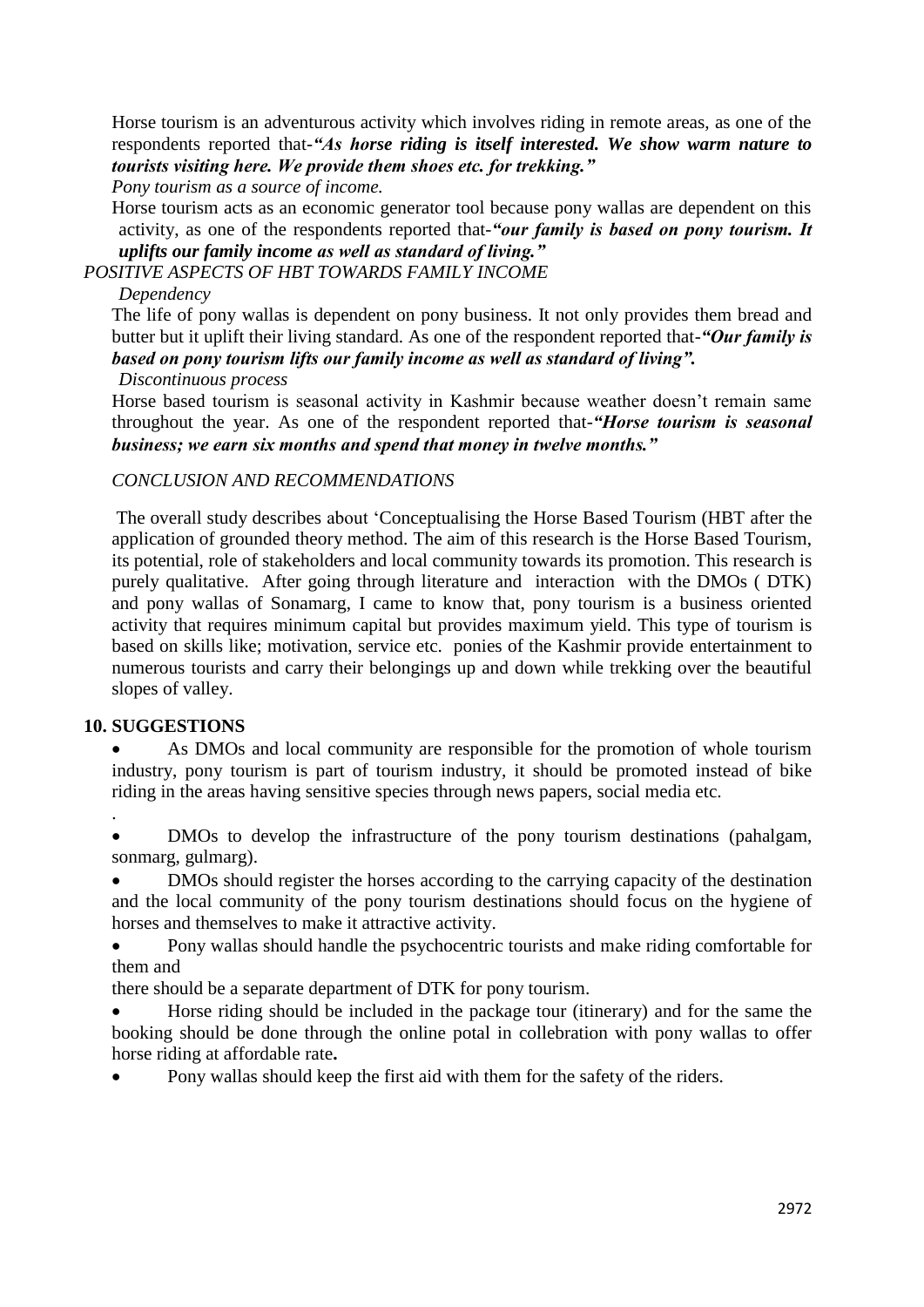Horse tourism is an adventurous activity which involves riding in remote areas, as one of the respondents reported that-*"As horse riding is itself interested. We show warm nature to tourists visiting here. We provide them shoes etc. for trekking."*

*Pony tourism as a source of income.*

Horse tourism acts as an economic generator tool because pony wallas are dependent on this activity, as one of the respondents reported that-*"our family is based on pony tourism. It uplifts our family income as well as standard of living."*

*POSITIVE ASPECTS OF HBT TOWARDS FAMILY INCOME*

## *Dependency*

 The life of pony wallas is dependent on pony business. It not only provides them bread and butter but it uplift their living standard. As one of the respondent reported that-*"Our family is based on pony tourism lifts our family income as well as standard of living".*

## *Discontinuous process*

 Horse based tourism is seasonal activity in Kashmir because weather doesn't remain same throughout the year. As one of the respondent reported that-*"Horse tourism is seasonal business; we earn six months and spend that money in twelve months."*

## *CONCLUSION AND RECOMMENDATIONS*

The overall study describes about 'Conceptualising the Horse Based Tourism (HBT after the application of grounded theory method. The aim of this research is the Horse Based Tourism, its potential, role of stakeholders and local community towards its promotion. This research is purely qualitative. After going through literature and interaction with the DMOs ( DTK) and pony wallas of Sonamarg, I came to know that, pony tourism is a business oriented activity that requires minimum capital but provides maximum yield. This type of tourism is based on skills like; motivation, service etc. ponies of the Kashmir provide entertainment to numerous tourists and carry their belongings up and down while trekking over the beautiful slopes of valley.

## **10. SUGGESTIONS**

.

 As DMOs and local community are responsible for the promotion of whole tourism industry, pony tourism is part of tourism industry, it should be promoted instead of bike riding in the areas having sensitive species through news papers, social media etc.

 DMOs to develop the infrastructure of the pony tourism destinations (pahalgam, sonmarg, gulmarg).

 DMOs should register the horses according to the carrying capacity of the destination and the local community of the pony tourism destinations should focus on the hygiene of horses and themselves to make it attractive activity.

 Pony wallas should handle the psychocentric tourists and make riding comfortable for them and

there should be a separate department of DTK for pony tourism.

 Horse riding should be included in the package tour (itinerary) and for the same the booking should be done through the online potal in collebration with pony wallas to offer horse riding at affordable rate**.**

Pony wallas should keep the first aid with them for the safety of the riders.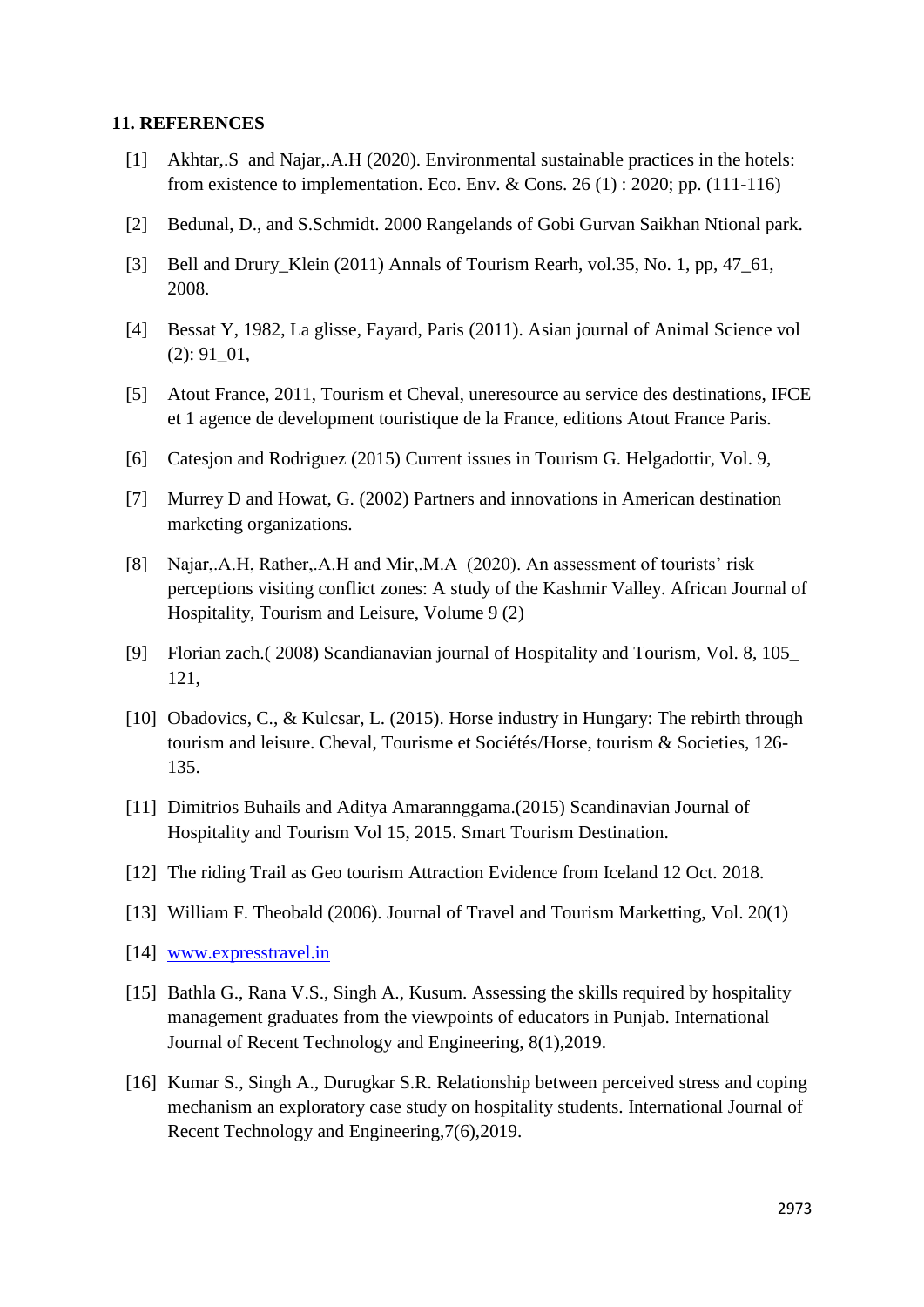#### **11. REFERENCES**

- [1] Akhtar,.S and Najar,.A.H (2020). Environmental sustainable practices in the hotels: from existence to implementation. Eco. Env. & Cons. 26 (1) : 2020; pp. (111-116)
- [2] Bedunal, D., and S.Schmidt. 2000 Rangelands of Gobi Gurvan Saikhan Ntional park.
- [3] Bell and Drury\_Klein (2011) Annals of Tourism Rearh, vol.35, No. 1, pp, 47\_61, 2008.
- [4] Bessat Y, 1982, La glisse, Fayard, Paris (2011). Asian journal of Animal Science vol (2): 91\_01,
- [5] Atout France, 2011, Tourism et Cheval, uneresource au service des destinations, IFCE et 1 agence de development touristique de la France, editions Atout France Paris.
- [6] Catesjon and Rodriguez (2015) Current issues in Tourism G. Helgadottir, Vol. 9,
- [7] Murrey D and Howat, G. (2002) Partners and innovations in American destination marketing organizations.
- [8] Najar,.A.H, Rather,.A.H and Mir,.M.A (2020). An assessment of tourists' risk perceptions visiting conflict zones: A study of the Kashmir Valley. African Journal of Hospitality, Tourism and Leisure, Volume 9 (2)
- [9] Florian zach.( 2008) Scandianavian journal of Hospitality and Tourism, Vol. 8, 105\_ 121,
- [10] Obadovics, C., & Kulcsar, L. (2015). Horse industry in Hungary: The rebirth through tourism and leisure. Cheval, Tourisme et Sociétés/Horse, tourism & Societies, 126- 135.
- [11] Dimitrios Buhails and Aditya Amarannggama.(2015) Scandinavian Journal of Hospitality and Tourism Vol 15, 2015. Smart Tourism Destination.
- [12] The riding Trail as Geo tourism Attraction Evidence from Iceland 12 Oct. 2018.
- [13] William F. Theobald (2006). Journal of Travel and Tourism Marketting, Vol. 20(1)
- [14] [www.expresstravel.in](http://www.expresstravel.in/)
- [15] Bathla G., Rana V.S., Singh A., Kusum. Assessing the skills required by hospitality management graduates from the viewpoints of educators in Punjab. International Journal of Recent Technology and Engineering, 8(1),2019.
- [16] Kumar S., Singh A., Durugkar S.R. Relationship between perceived stress and coping mechanism an exploratory case study on hospitality students. International Journal of Recent Technology and Engineering,7(6),2019.